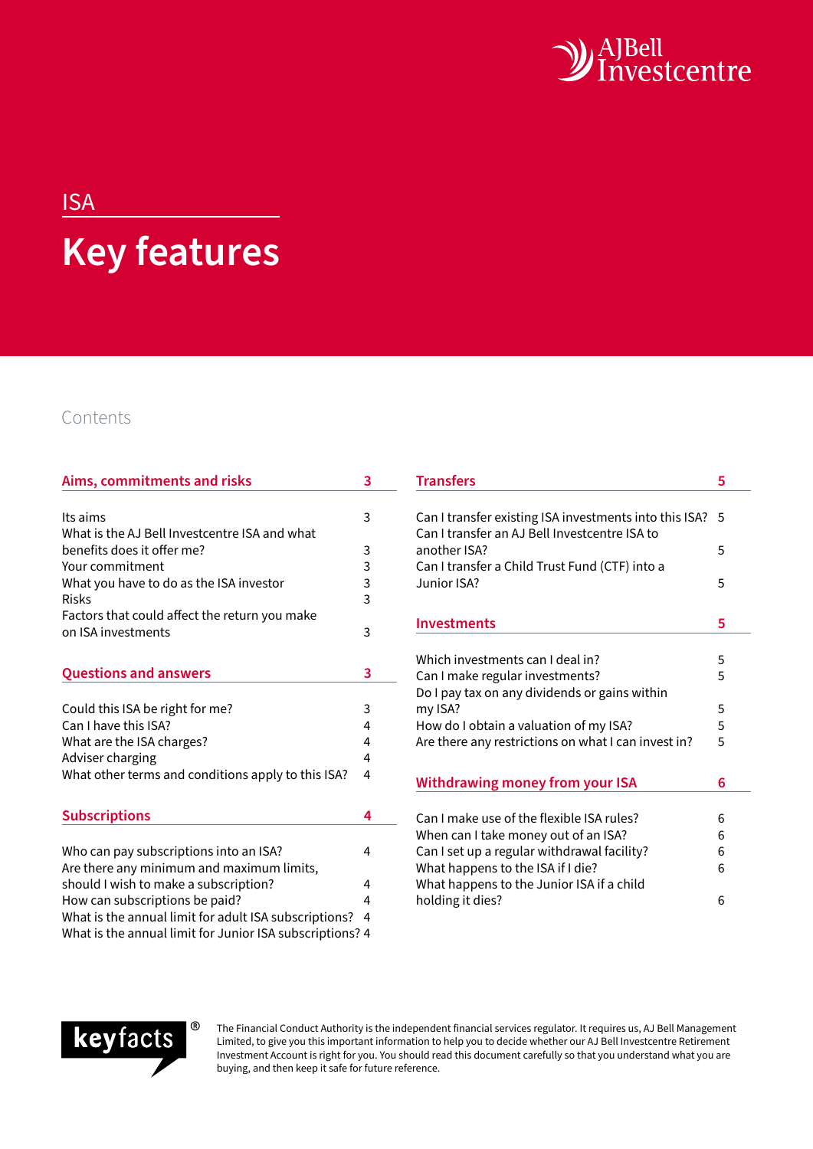

# ISA **Key features**

## Contents

| Aims, commitments and risks                              | 3 |
|----------------------------------------------------------|---|
|                                                          |   |
| Its aims                                                 | 3 |
| What is the AJ Bell Investcentre ISA and what            |   |
| benefits does it offer me?                               | 3 |
| Your commitment                                          | 3 |
| What you have to do as the ISA investor                  | 3 |
| <b>Risks</b>                                             | 3 |
| Factors that could affect the return you make            |   |
| on ISA investments                                       | 3 |
|                                                          |   |
| <b>Questions and answers</b>                             | 3 |
|                                                          |   |
| Could this ISA be right for me?                          | 3 |
| Can I have this ISA?                                     | 4 |
| What are the ISA charges?                                | 4 |
| Adviser charging                                         | 4 |
| What other terms and conditions apply to this ISA?       | 4 |
|                                                          |   |
| <b>Subscriptions</b>                                     | 4 |
|                                                          |   |
| Who can pay subscriptions into an ISA?                   | 4 |
| Are there any minimum and maximum limits,                |   |
| should I wish to make a subscription?                    | 4 |
| How can subscriptions be paid?                           | 4 |
| What is the annual limit for adult ISA subscriptions?    | 4 |
| What is the annual limit for Junior ISA subscriptions? 4 |   |

| <b>Transfers</b>                                                                                        | 5  |
|---------------------------------------------------------------------------------------------------------|----|
| Can I transfer existing ISA investments into this ISA?<br>Can I transfer an AJ Bell Investcentre ISA to | .5 |
| another ISA?<br>Can I transfer a Child Trust Fund (CTF) into a                                          | 5  |
| Junior ISA?                                                                                             | 5  |
| <b>Investments</b>                                                                                      | 5  |
|                                                                                                         |    |
| Which investments can I deal in?                                                                        | 5  |
| Can I make regular investments?<br>Do I pay tax on any dividends or gains within                        | 5  |
| my ISA?                                                                                                 | 5  |
| How do I obtain a valuation of my ISA?                                                                  | 5  |
| Are there any restrictions on what I can invest in?                                                     | 5  |
| <b>Withdrawing money from your ISA</b>                                                                  | 6  |
|                                                                                                         |    |
| Can I make use of the flexible ISA rules?                                                               | 6  |
| When can I take money out of an ISA?                                                                    | 6  |
| Can I set up a regular withdrawal facility?                                                             | 6  |
| What happens to the ISA if I die?                                                                       | 6  |
| What happens to the Junior ISA if a child                                                               |    |
| holding it dies?                                                                                        | 6  |



The Financial Conduct Authority is the independent financial services regulator. It requires us, AJ Bell Management Limited, to give you this important information to help you to decide whether our AJ Bell Investcentre Retirement Investment Account is right for you. You should read this document carefully so that you understand what you are buying, and then keep it safe for future reference.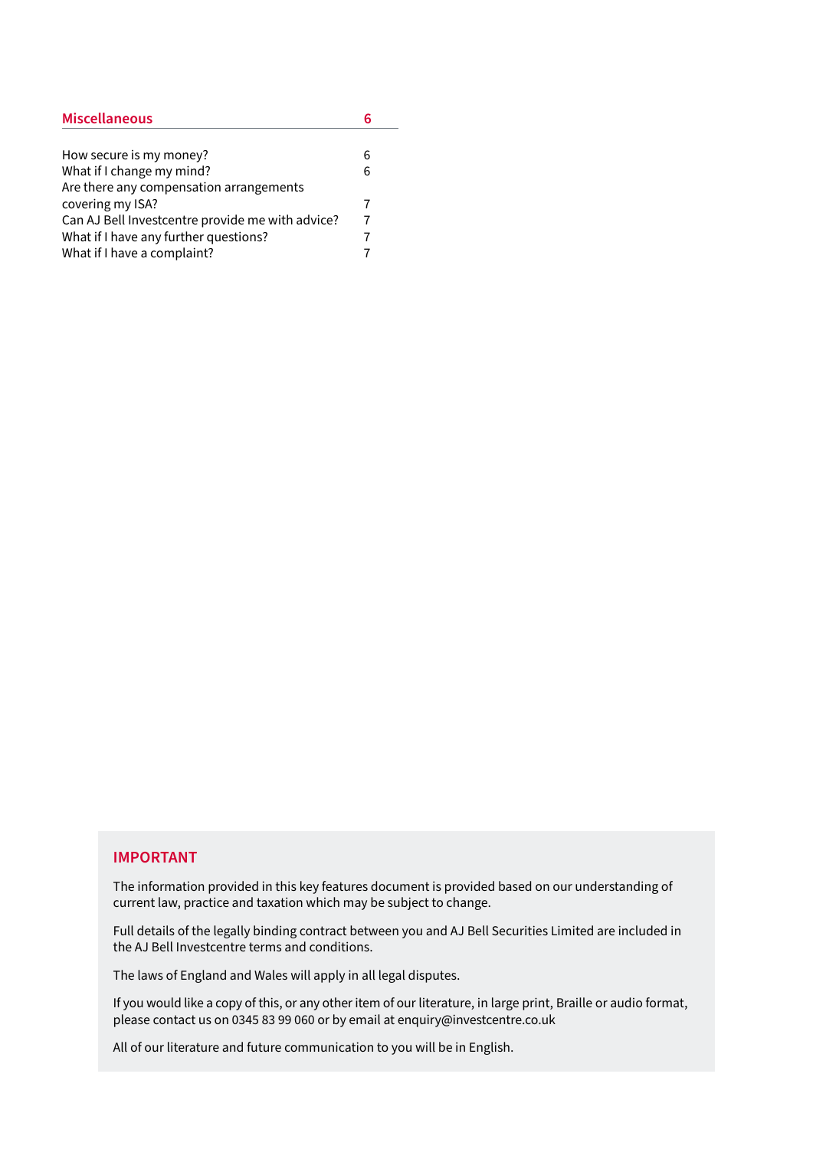| <b>Miscellaneous</b>                             |   |
|--------------------------------------------------|---|
|                                                  |   |
| How secure is my money?                          | 6 |
| What if I change my mind?                        | 6 |
| Are there any compensation arrangements          |   |
| covering my ISA?                                 |   |
| Can AJ Bell Investcentre provide me with advice? | 7 |
| What if I have any further questions?            |   |
| What if I have a complaint?                      |   |

#### **IMPORTANT**

The information provided in this key features document is provided based on our understanding of current law, practice and taxation which may be subject to change.

Full details of the legally binding contract between you and AJ Bell Securities Limited are included in the AJ Bell Investcentre terms and conditions.

The laws of England and Wales will apply in all legal disputes.

If you would like a copy of this, or any other item of our literature, in large print, Braille or audio format, please contact us on 0345 83 99 060 or by email at enquiry@investcentre.co.uk

All of our literature and future communication to you will be in English.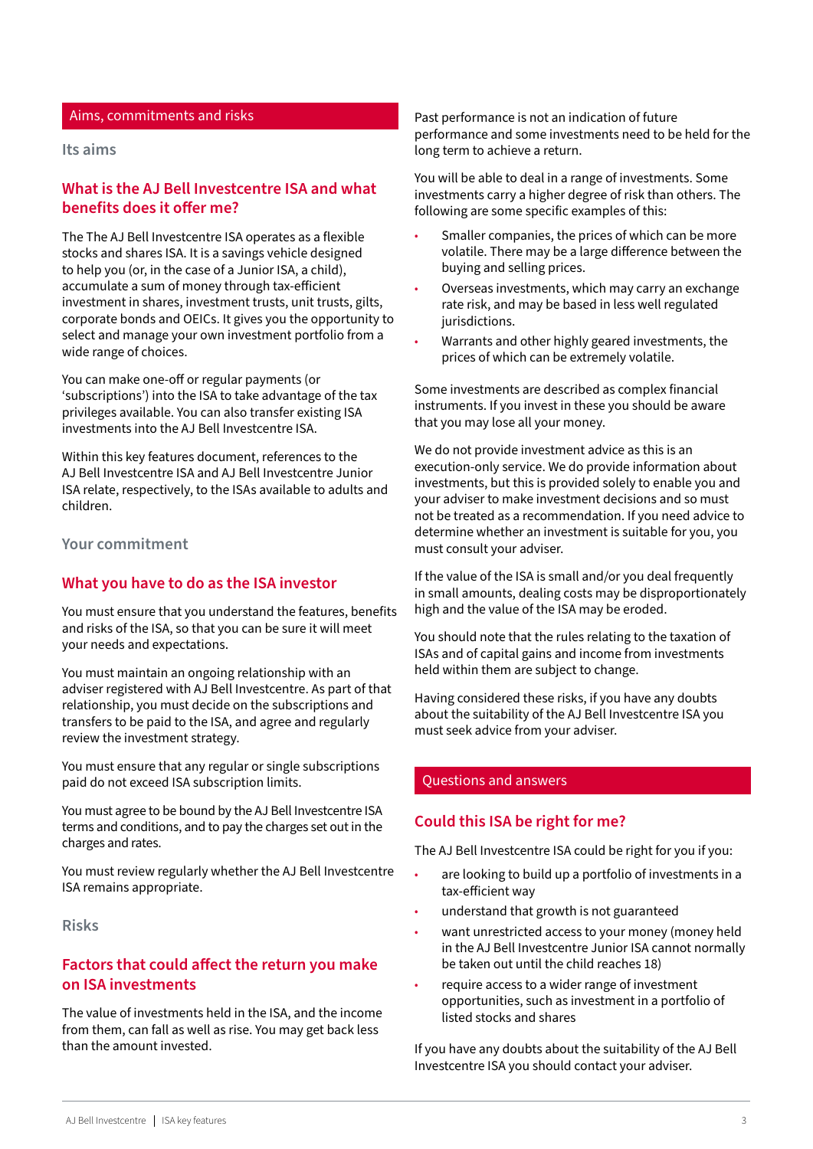#### <span id="page-2-0"></span>Aims, commitments and risks

#### **Its aims**

## **What is the AJ Bell Investcentre ISA and what benefits does it offer me?**

The The AJ Bell Investcentre ISA operates as a flexible stocks and shares ISA. It is a savings vehicle designed to help you (or, in the case of a Junior ISA, a child), accumulate a sum of money through tax-efficient investment in shares, investment trusts, unit trusts, gilts, corporate bonds and OEICs. It gives you the opportunity to select and manage your own investment portfolio from a wide range of choices.

You can make one-off or regular payments (or 'subscriptions') into the ISA to take advantage of the tax privileges available. You can also transfer existing ISA investments into the AJ Bell Investcentre ISA.

Within this key features document, references to the AJ Bell Investcentre ISA and AJ Bell Investcentre Junior ISA relate, respectively, to the ISAs available to adults and children.

**Your commitment**

## **What you have to do as the ISA investor**

You must ensure that you understand the features, benefits and risks of the ISA, so that you can be sure it will meet your needs and expectations.

You must maintain an ongoing relationship with an adviser registered with AJ Bell Investcentre. As part of that relationship, you must decide on the subscriptions and transfers to be paid to the ISA, and agree and regularly review the investment strategy.

You must ensure that any regular or single subscriptions paid do not exceed ISA subscription limits.

You must agree to be bound by the AJ Bell Investcentre ISA terms and conditions, and to pay the charges set out in the charges and rates.

You must review regularly whether the AJ Bell Investcentre ISA remains appropriate.

**Risks**

## **Factors that could affect the return you make on ISA investments**

The value of investments held in the ISA, and the income from them, can fall as well as rise. You may get back less than the amount invested.

Past performance is not an indication of future performance and some investments need to be held for the long term to achieve a return.

You will be able to deal in a range of investments. Some investments carry a higher degree of risk than others. The following are some specific examples of this:

- Smaller companies, the prices of which can be more volatile. There may be a large difference between the buying and selling prices.
- Overseas investments, which may carry an exchange rate risk, and may be based in less well regulated jurisdictions.
- Warrants and other highly geared investments, the prices of which can be extremely volatile.

Some investments are described as complex financial instruments. If you invest in these you should be aware that you may lose all your money.

We do not provide investment advice as this is an execution-only service. We do provide information about investments, but this is provided solely to enable you and your adviser to make investment decisions and so must not be treated as a recommendation. If you need advice to determine whether an investment is suitable for you, you must consult your adviser.

If the value of the ISA is small and/or you deal frequently in small amounts, dealing costs may be disproportionately high and the value of the ISA may be eroded.

You should note that the rules relating to the taxation of ISAs and of capital gains and income from investments held within them are subject to change.

Having considered these risks, if you have any doubts about the suitability of the AJ Bell Investcentre ISA you must seek advice from your adviser.

#### Questions and answers

#### **Could this ISA be right for me?**

The AJ Bell Investcentre ISA could be right for you if you:

- are looking to build up a portfolio of investments in a tax-efficient way
- understand that growth is not guaranteed
- want unrestricted access to your money (money held in the AJ Bell Investcentre Junior ISA cannot normally be taken out until the child reaches 18)
- require access to a wider range of investment opportunities, such as investment in a portfolio of listed stocks and shares

If you have any doubts about the suitability of the AJ Bell Investcentre ISA you should contact your adviser.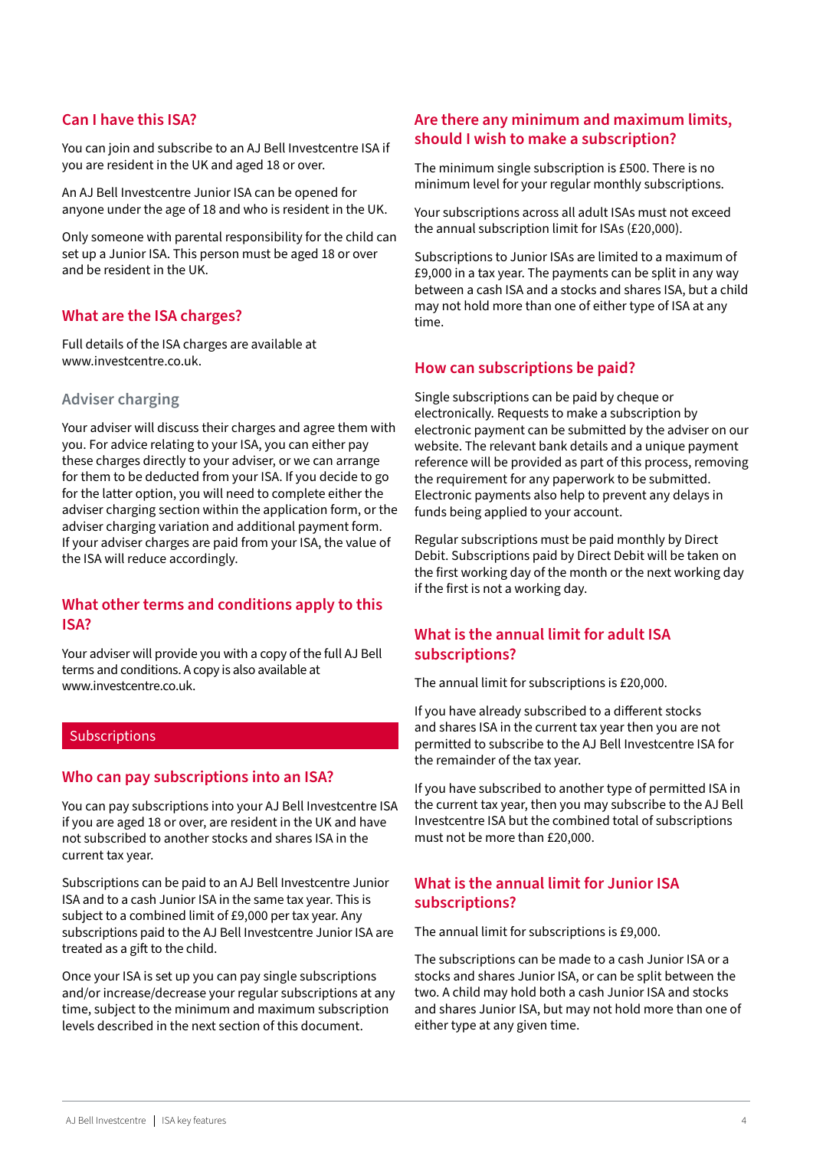## <span id="page-3-0"></span>**Can I have this ISA?**

You can join and subscribe to an AJ Bell Investcentre ISA if you are resident in the UK and aged 18 or over.

An AJ Bell Investcentre Junior ISA can be opened for anyone under the age of 18 and who is resident in the UK.

Only someone with parental responsibility for the child can set up a Junior ISA. This person must be aged 18 or over and be resident in the UK.

## **What are the ISA charges?**

Full details of the ISA charges are available at www.investcentre.co.uk.

## **Adviser charging**

Your adviser will discuss their charges and agree them with you. For advice relating to your ISA, you can either pay these charges directly to your adviser, or we can arrange for them to be deducted from your ISA. If you decide to go for the latter option, you will need to complete either the adviser charging section within the application form, or the adviser charging variation and additional payment form. If your adviser charges are paid from your ISA, the value of the ISA will reduce accordingly.

## **What other terms and conditions apply to this ISA?**

Your adviser will provide you with a copy of the full AJ Bell terms and conditions. A copy is also available at www.investcentre.co.uk.

#### Subscriptions

#### **Who can pay subscriptions into an ISA?**

You can pay subscriptions into your AJ Bell Investcentre ISA if you are aged 18 or over, are resident in the UK and have not subscribed to another stocks and shares ISA in the current tax year.

Subscriptions can be paid to an AJ Bell Investcentre Junior ISA and to a cash Junior ISA in the same tax year. This is subject to a combined limit of £9,000 per tax year. Any subscriptions paid to the AJ Bell Investcentre Junior ISA are treated as a gift to the child.

Once your ISA is set up you can pay single subscriptions and/or increase/decrease your regular subscriptions at any time, subject to the minimum and maximum subscription levels described in the next section of this document.

## **Are there any minimum and maximum limits, should I wish to make a subscription?**

The minimum single subscription is £500. There is no minimum level for your regular monthly subscriptions.

Your subscriptions across all adult ISAs must not exceed the annual subscription limit for ISAs (£20,000).

Subscriptions to Junior ISAs are limited to a maximum of £9,000 in a tax year. The payments can be split in any way between a cash ISA and a stocks and shares ISA, but a child may not hold more than one of either type of ISA at any time.

## **How can subscriptions be paid?**

Single subscriptions can be paid by cheque or electronically. Requests to make a subscription by electronic payment can be submitted by the adviser on our website. The relevant bank details and a unique payment reference will be provided as part of this process, removing the requirement for any paperwork to be submitted. Electronic payments also help to prevent any delays in funds being applied to your account.

Regular subscriptions must be paid monthly by Direct Debit. Subscriptions paid by Direct Debit will be taken on the first working day of the month or the next working day if the first is not a working day.

## **What is the annual limit for adult ISA subscriptions?**

The annual limit for subscriptions is £20,000.

If you have already subscribed to a different stocks and shares ISA in the current tax year then you are not permitted to subscribe to the AJ Bell Investcentre ISA for the remainder of the tax year.

If you have subscribed to another type of permitted ISA in the current tax year, then you may subscribe to the AJ Bell Investcentre ISA but the combined total of subscriptions must not be more than £20,000.

## **What is the annual limit for Junior ISA subscriptions?**

The annual limit for subscriptions is £9,000.

The subscriptions can be made to a cash Junior ISA or a stocks and shares Junior ISA, or can be split between the two. A child may hold both a cash Junior ISA and stocks and shares Junior ISA, but may not hold more than one of either type at any given time.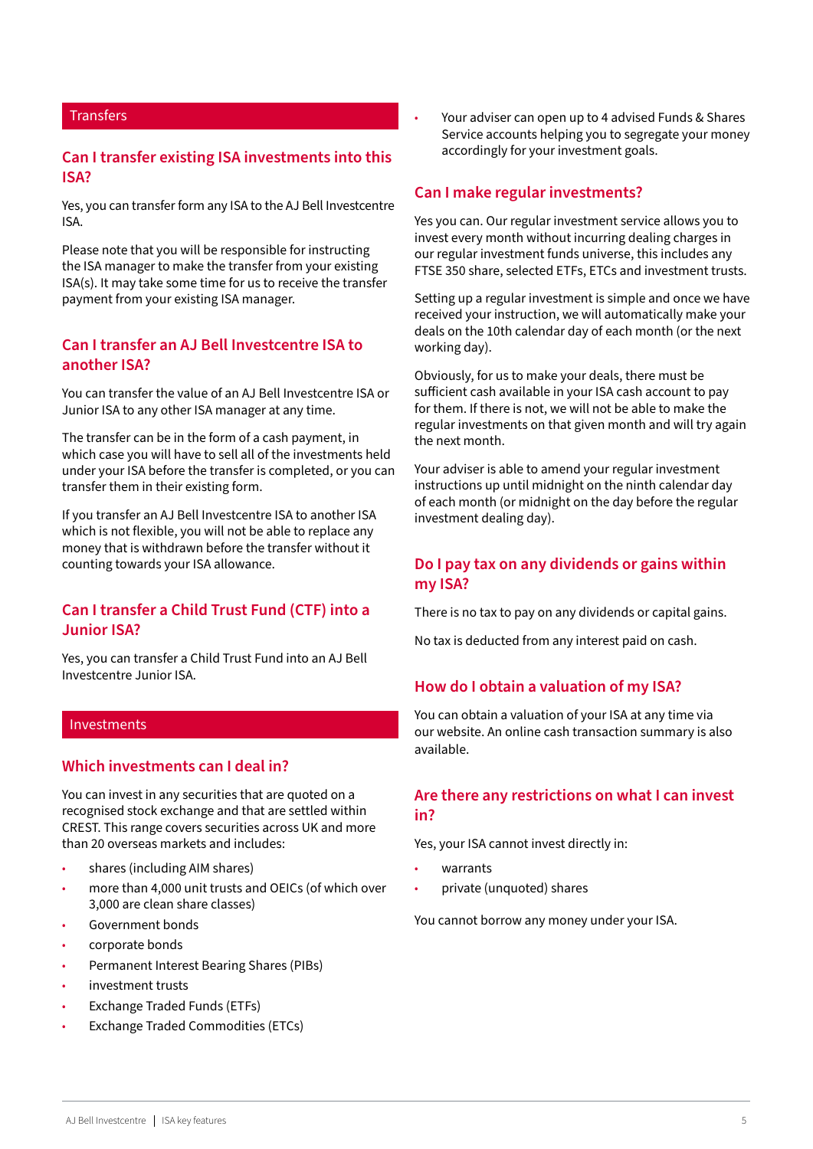### <span id="page-4-0"></span>**Transfers**

## **Can I transfer existing ISA investments into this ISA?**

Yes, you can transfer form any ISA to the AJ Bell Investcentre ISA.

Please note that you will be responsible for instructing the ISA manager to make the transfer from your existing ISA(s). It may take some time for us to receive the transfer payment from your existing ISA manager.

## **Can I transfer an AJ Bell Investcentre ISA to another ISA?**

You can transfer the value of an AJ Bell Investcentre ISA or Junior ISA to any other ISA manager at any time.

The transfer can be in the form of a cash payment, in which case you will have to sell all of the investments held under your ISA before the transfer is completed, or you can transfer them in their existing form.

If you transfer an AJ Bell Investcentre ISA to another ISA which is not flexible, you will not be able to replace any money that is withdrawn before the transfer without it counting towards your ISA allowance.

## **Can I transfer a Child Trust Fund (CTF) into a Junior ISA?**

Yes, you can transfer a Child Trust Fund into an AJ Bell Investcentre Junior ISA.

#### Investments

#### **Which investments can I deal in?**

You can invest in any securities that are quoted on a recognised stock exchange and that are settled within CREST. This range covers securities across UK and more than 20 overseas markets and includes:

- shares (including AIM shares)
- more than 4,000 unit trusts and OEICs (of which over 3,000 are clean share classes)
- Government bonds
- corporate bonds
- Permanent Interest Bearing Shares (PIBs)
- investment trusts
- Exchange Traded Funds (ETFs)
- Exchange Traded Commodities (ETCs)

• Your adviser can open up to 4 advised Funds & Shares Service accounts helping you to segregate your money accordingly for your investment goals.

#### **Can I make regular investments?**

Yes you can. Our regular investment service allows you to invest every month without incurring dealing charges in our regular investment funds universe, this includes any FTSE 350 share, selected ETFs, ETCs and investment trusts.

Setting up a regular investment is simple and once we have received your instruction, we will automatically make your deals on the 10th calendar day of each month (or the next working day).

Obviously, for us to make your deals, there must be sufficient cash available in your ISA cash account to pay for them. If there is not, we will not be able to make the regular investments on that given month and will try again the next month.

Your adviser is able to amend your regular investment instructions up until midnight on the ninth calendar day of each month (or midnight on the day before the regular investment dealing day).

## **Do I pay tax on any dividends or gains within my ISA?**

There is no tax to pay on any dividends or capital gains.

No tax is deducted from any interest paid on cash.

### **How do I obtain a valuation of my ISA?**

You can obtain a valuation of your ISA at any time via our website. An online cash transaction summary is also available.

## **Are there any restrictions on what I can invest in?**

Yes, your ISA cannot invest directly in:

- warrants
- private (unquoted) shares

You cannot borrow any money under your ISA.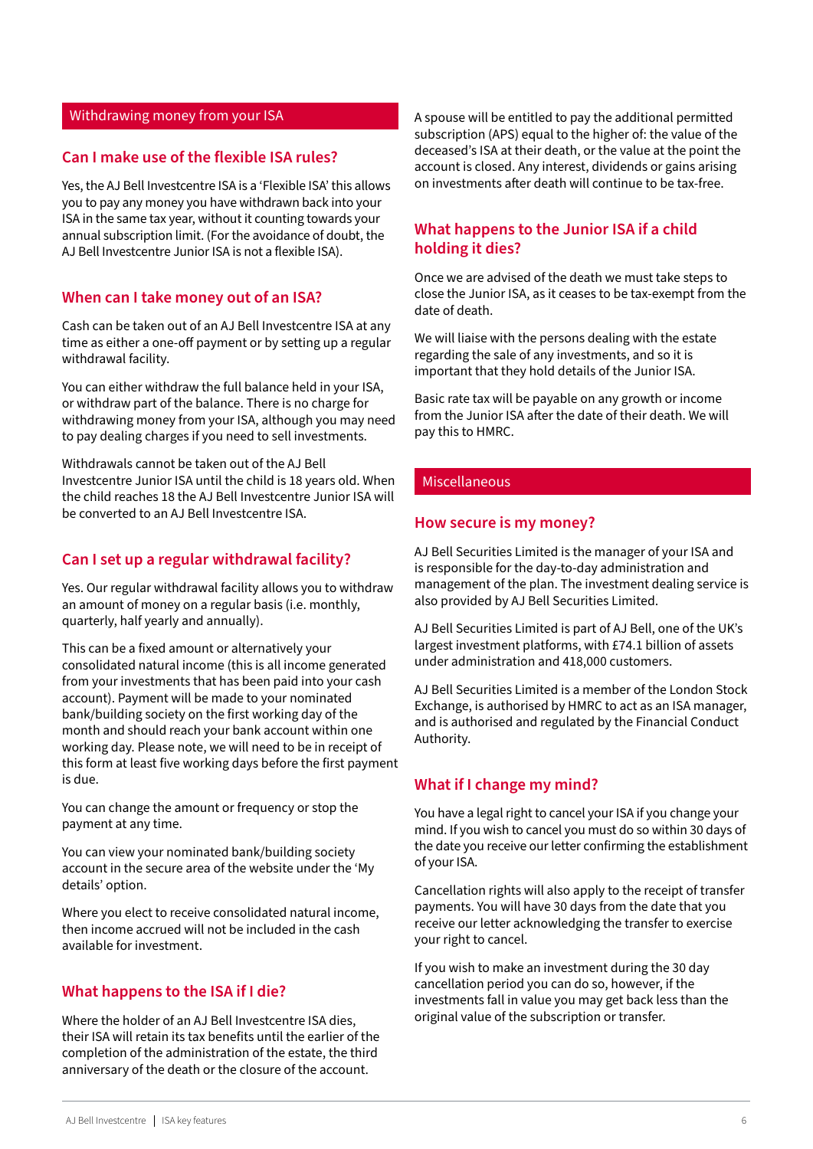#### <span id="page-5-0"></span>Withdrawing money from your ISA

### **Can I make use of the flexible ISA rules?**

Yes, the AJ Bell Investcentre ISA is a 'Flexible ISA' this allows you to pay any money you have withdrawn back into your ISA in the same tax year, without it counting towards your annual subscription limit. (For the avoidance of doubt, the AJ Bell Investcentre Junior ISA is not a flexible ISA).

#### **When can I take money out of an ISA?**

Cash can be taken out of an AJ Bell Investcentre ISA at any time as either a one-off payment or by setting up a regular withdrawal facility.

You can either withdraw the full balance held in your ISA, or withdraw part of the balance. There is no charge for withdrawing money from your ISA, although you may need to pay dealing charges if you need to sell investments.

Withdrawals cannot be taken out of the AJ Bell Investcentre Junior ISA until the child is 18 years old. When the child reaches 18 the AJ Bell Investcentre Junior ISA will be converted to an AJ Bell Investcentre ISA.

### **Can I set up a regular withdrawal facility?**

Yes. Our regular withdrawal facility allows you to withdraw an amount of money on a regular basis (i.e. monthly, quarterly, half yearly and annually).

This can be a fixed amount or alternatively your consolidated natural income (this is all income generated from your investments that has been paid into your cash account). Payment will be made to your nominated bank/building society on the first working day of the month and should reach your bank account within one working day. Please note, we will need to be in receipt of this form at least five working days before the first payment is due.

You can change the amount or frequency or stop the payment at any time.

You can view your nominated bank/building society account in the secure area of the website under the 'My details' option.

Where you elect to receive consolidated natural income, then income accrued will not be included in the cash available for investment.

#### **What happens to the ISA if I die?**

Where the holder of an AJ Bell Investcentre ISA dies, their ISA will retain its tax benefits until the earlier of the completion of the administration of the estate, the third anniversary of the death or the closure of the account.

A spouse will be entitled to pay the additional permitted subscription (APS) equal to the higher of: the value of the deceased's ISA at their death, or the value at the point the account is closed. Any interest, dividends or gains arising on investments after death will continue to be tax-free.

## **What happens to the Junior ISA if a child holding it dies?**

Once we are advised of the death we must take steps to close the Junior ISA, as it ceases to be tax-exempt from the date of death.

We will liaise with the persons dealing with the estate regarding the sale of any investments, and so it is important that they hold details of the Junior ISA.

Basic rate tax will be payable on any growth or income from the Junior ISA after the date of their death. We will pay this to HMRC.

#### Miscellaneous

#### **How secure is my money?**

AJ Bell Securities Limited is the manager of your ISA and is responsible for the day-to-day administration and management of the plan. The investment dealing service is also provided by AJ Bell Securities Limited.

AJ Bell Securities Limited is part of AJ Bell, one of the UK's largest investment platforms, with £74.1 billion of assets under administration and 418,000 customers.

AJ Bell Securities Limited is a member of the London Stock Exchange, is authorised by HMRC to act as an ISA manager, and is authorised and regulated by the Financial Conduct Authority.

#### **What if I change my mind?**

You have a legal right to cancel your ISA if you change your mind. If you wish to cancel you must do so within 30 days of the date you receive our letter confirming the establishment of your ISA.

Cancellation rights will also apply to the receipt of transfer payments. You will have 30 days from the date that you receive our letter acknowledging the transfer to exercise your right to cancel.

If you wish to make an investment during the 30 day cancellation period you can do so, however, if the investments fall in value you may get back less than the original value of the subscription or transfer.